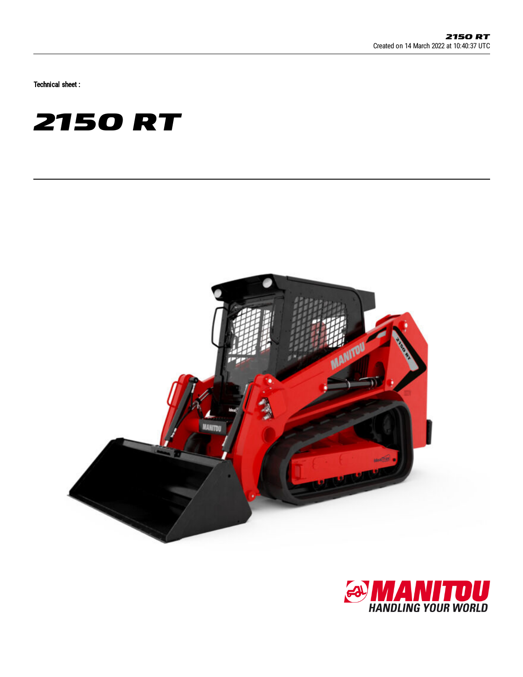Technical sheet :





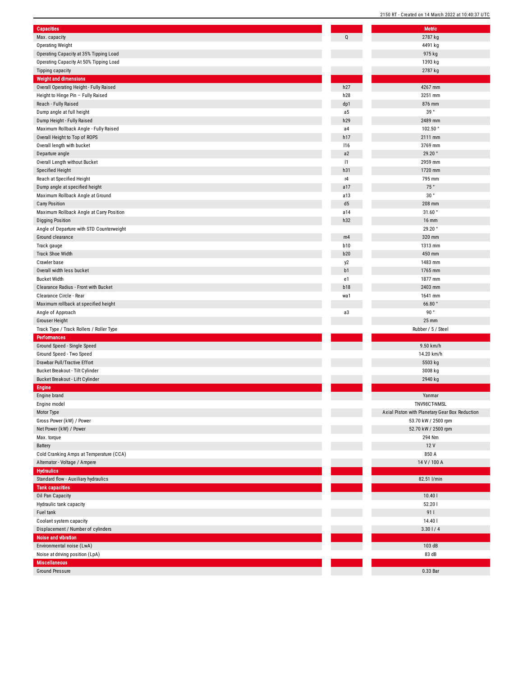| <b>Capacities</b>                         |                | Metric                           |
|-------------------------------------------|----------------|----------------------------------|
| Max. capacity                             | Q              | 2787 kg                          |
| <b>Operating Weight</b>                   |                | 4491 kg                          |
| Operating Capacity at 35% Tipping Load    |                | 975 kg                           |
| Operating Capacity At 50% Tipping Load    |                | 1393 kg                          |
| <b>Tipping capacity</b>                   |                | 2787 kg                          |
| <b>Weight and dimensions</b>              |                |                                  |
| Overall Operating Height - Fully Raised   | h27            | 4267 mm                          |
| Height to Hinge Pin - Fully Raised        | h28            | 3251 mm                          |
| Reach - Fully Raised                      | dp1            | 876 mm                           |
| Dump angle at full height                 | a5             | 39°                              |
| Dump Height - Fully Raised                | h29            | 2489 mm                          |
| Maximum Rollback Angle - Fully Raised     | a4             | 102.50°                          |
| Overall Height to Top of ROPS             | h17            | 2111 mm                          |
| Overall length with bucket                | 116            | 3769 mm                          |
| Departure angle                           | a2             | 29.20°                           |
| Overall Length without Bucket             | 1              | 2959 mm                          |
| <b>Specified Height</b>                   | h31            | 1720 mm                          |
| Reach at Specified Height                 | r4             | 795 mm                           |
| Dump angle at specified height            | a17            | 75°                              |
| Maximum Rollback Angle at Ground          | a13            | 30°                              |
| <b>Carry Position</b>                     | d <sub>5</sub> | 208 mm                           |
| Maximum Rollback Angle at Carry Position  | a14            | 31.60°                           |
| <b>Digging Position</b>                   | h32            | <b>16 mm</b>                     |
| Angle of Departure with STD Counterweight |                | 29.20°                           |
| Ground clearance                          | m4             | 320 mm                           |
| Track gauge                               | <b>b10</b>     | 1313 mm                          |
| <b>Track Shoe Width</b>                   | <b>b20</b>     | 450 mm                           |
| Crawler base                              |                | 1483 mm                          |
| Overall width less bucket                 | y2<br>b1       | 1765 mm                          |
|                                           |                |                                  |
| <b>Bucket Width</b>                       | e1             | 1877 mm                          |
| Clearance Radius - Front with Bucket      | <b>b18</b>     | 2403 mm                          |
| Clearance Circle - Rear                   | wa1            | 1641 mm                          |
| Maximum rollback at specified height      |                | 66.80°                           |
| Angle of Approach                         | a3             | 90°                              |
| Grouser Height                            |                | 25 mm                            |
| Track Type / Track Rollers / Roller Type  |                | Rubber / 5 / Steel               |
| Performances                              |                |                                  |
| Ground Speed - Single Speed               |                | 9.50 km/h                        |
| Ground Speed - Two Speed                  |                | 14.20 km/h                       |
| Drawbar Pull/Tractive Effort              |                | 5503 kg                          |
| Bucket Breakout - Tilt Cylinder           |                | 3008 kg                          |
| Bucket Breakout - Lift Cylinder           |                | 2940 kg                          |
| <b>Engine</b>                             |                |                                  |
| Engine brand                              |                | Yanmar                           |
| Engine model                              |                | TNV98CT-NMSL                     |
| Motor Type                                |                | Axial Piston with Planetary Gear |
| Gross Power (kW) / Power                  |                | 53.70 kW / 2500 rp               |
| Net Power (kW) / Power                    |                | 52.70 kW / 2500 rp               |
| Max. torque                               |                | 294 Nm                           |
| Battery                                   |                | 12 V                             |
| Cold Cranking Amps at Temperature (CCA)   |                | 850 A                            |
| Alternator - Voltage / Ampere             |                | 14 V / 100 A                     |
| <b>Hydraulics</b>                         |                |                                  |
| Standard flow - Auxiliary hydraulics      |                | 82.51 l/min                      |
| <b>Tank capacities</b>                    |                |                                  |
| Oil Pan Capacity                          |                | 10.401                           |
| Hydraulic tank capacity                   |                | 52.201                           |
| Fuel tank                                 |                | 91                               |
| Coolant system capacity                   |                | 14.40                            |
| Displacement / Number of cylinders        |                | 3.301/4                          |
| Noise and vibration                       |                |                                  |
| Environmental noise (LwA)                 |                | 103 dB                           |
| Noise at driving position (LpA)           |                | 83 dB                            |
| <b>Miscellaneous</b>                      |                |                                  |
| <b>Ground Pressure</b>                    |                | 0.33 Bar                         |

| <b>Metric</b>                                  |
|------------------------------------------------|
| 2787 kg                                        |
| 4491 kg                                        |
| 975 kg                                         |
| 1393 kg                                        |
| 2787 kg                                        |
|                                                |
| 4267 mm                                        |
| 3251 mm                                        |
| 876 mm                                         |
| 39°                                            |
| 2489 mm                                        |
| 102.50°                                        |
| 2111 mm                                        |
| 3769 mm                                        |
| 29.20°                                         |
| 2959 mm                                        |
| 1720 mm                                        |
| 795 mm                                         |
| 75 $^{\circ}$                                  |
| 30°                                            |
| 208 mm                                         |
| 31.60°                                         |
| <b>16 mm</b>                                   |
| 29.20°                                         |
| 320 mm                                         |
| 1313 mm                                        |
| 450 mm                                         |
| 1483 mm                                        |
| 1765 mm                                        |
| 1877 mm                                        |
| 2403 mm                                        |
| 1641 mm                                        |
| 66.80°                                         |
| 90°                                            |
|                                                |
| 25 mm                                          |
| Rubber / 5 / Steel                             |
|                                                |
| 9.50 km/h                                      |
| 14.20 km/h                                     |
| 5503 kg                                        |
| 3008 kg                                        |
| 2940 kg                                        |
|                                                |
| Yanmar                                         |
| TNV98CT-NMSL                                   |
| Axial Piston with Planetary Gear Box Reduction |
| 53.70 kW / 2500 rpm                            |
| 52.70 kW / 2500 rpm                            |
| 294 Nm                                         |
| 12V                                            |
| 850 A                                          |
| 14 V / 100 A                                   |
|                                                |
| 82.51 l/min                                    |
|                                                |
| 10.401                                         |
| 52.201                                         |
| 91 l                                           |
| 14.40                                          |
| 3.301/4                                        |
|                                                |
| 103 dB                                         |
| 83 dB                                          |
| 0.33 Bar                                       |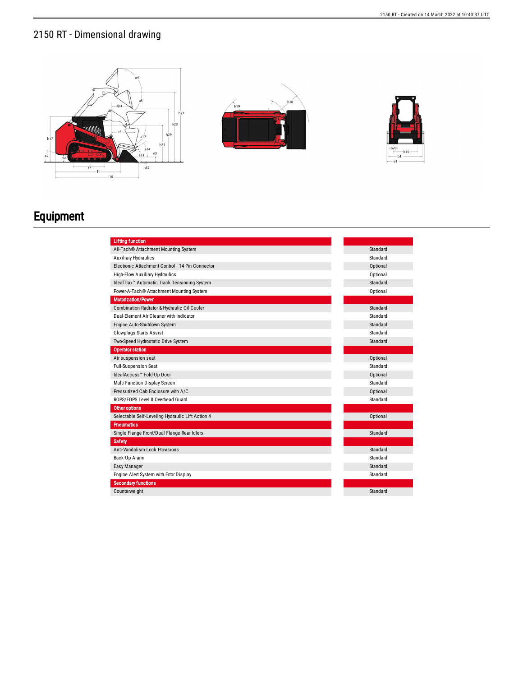## 2150 RT - Dimensional drawing







## Equipment

| <b>Lifting function</b>                                  |          |
|----------------------------------------------------------|----------|
| All-Tach® Attachment Mounting System                     | Standard |
| <b>Auxiliary Hydraulics</b>                              | Standard |
| Electronic Attachment Control - 14-Pin Connector         | Optional |
| <b>High-Flow Auxiliary Hydraulics</b>                    | Optional |
| IdealTrax <sup>™</sup> Automatic Track Tensioning System | Standard |
| Power-A-Tach® Attachment Mounting System                 | Optional |
| <b>Motorization/Power</b>                                |          |
| Combination Radiator & Hydraulic Oil Cooler              | Standard |
| Dual-Element Air Cleaner with Indicator                  | Standard |
| Engine Auto-Shutdown System                              | Standard |
| <b>Glowplugs Starts Assist</b>                           | Standard |
| Two-Speed Hydrostatic Drive System                       | Standard |
| <b>Operator station</b>                                  |          |
| Air suspension seat                                      | Optional |
| <b>Full-Suspension Seat</b>                              | Standard |
| IdealAccess™ Fold-Up Door                                | Optional |
| Multi-Function Display Screen                            | Standard |
| Pressurized Cab Enclosure with A/C                       | Optional |
| ROPS/FOPS Level II Overhead Guard                        | Standard |
| <b>Other options</b>                                     |          |
| Selectable Self-Leveling Hydraulic Lift Action 4         | Optional |
| <b>Pneumatics</b>                                        |          |
| Single Flange Front/Dual Flange Rear Idlers              | Standard |
| Safety                                                   |          |
| Anti-Vandalism Lock Provisions                           | Standard |
| Back-Up Alarm                                            | Standard |
| Easy Manager                                             | Standard |
| Engine Alert System with Error Display                   | Standard |
| <b>Secondary functions</b>                               |          |
| Counterweight                                            | Standard |